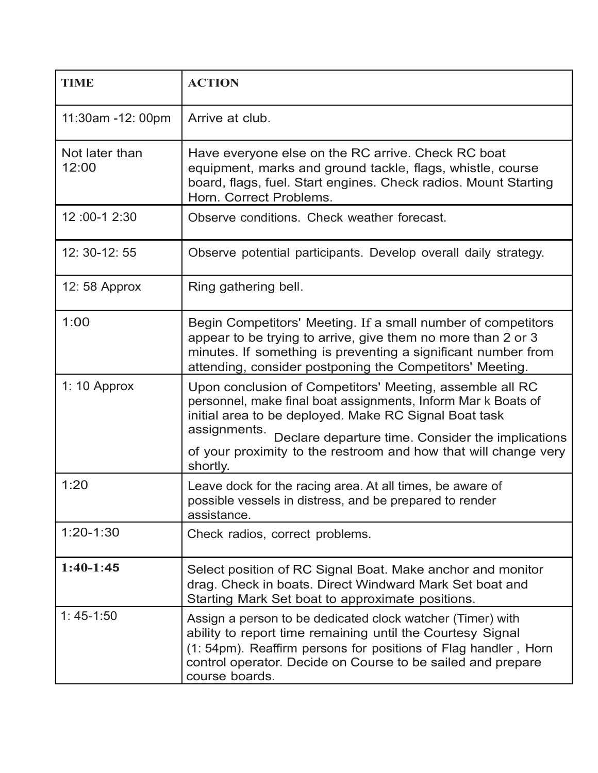| <b>TIME</b>             | <b>ACTION</b>                                                                                                                                                                                                                                                               |
|-------------------------|-----------------------------------------------------------------------------------------------------------------------------------------------------------------------------------------------------------------------------------------------------------------------------|
| 11:30am -12: 00pm       | Arrive at club.                                                                                                                                                                                                                                                             |
| Not later than<br>12:00 | Have everyone else on the RC arrive. Check RC boat<br>equipment, marks and ground tackle, flags, whistle, course<br>board, flags, fuel. Start engines. Check radios. Mount Starting<br>Horn. Correct Problems.                                                              |
| 12:00-1 2:30            | Observe conditions. Check weather forecast.                                                                                                                                                                                                                                 |
| 12: 30-12: 55           | Observe potential participants. Develop overall daily strategy.                                                                                                                                                                                                             |
| $12:58$ Approx          | Ring gathering bell.                                                                                                                                                                                                                                                        |
| 1:00                    | Begin Competitors' Meeting. If a small number of competitors<br>appear to be trying to arrive, give them no more than 2 or 3<br>minutes. If something is preventing a significant number from<br>attending, consider postponing the Competitors' Meeting.                   |
| 1: 10 Approx            | Upon conclusion of Competitors' Meeting, assemble all RC<br>personnel, make final boat assignments, Inform Mar k Boats of<br>initial area to be deployed. Make RC Signal Boat task<br>assignments.                                                                          |
|                         | Declare departure time. Consider the implications<br>of your proximity to the restroom and how that will change very<br>shortly.                                                                                                                                            |
| 1:20                    | Leave dock for the racing area. At all times, be aware of<br>possible vessels in distress, and be prepared to render<br>assistance.                                                                                                                                         |
| $1:20-1:30$             | Check radios, correct problems.                                                                                                                                                                                                                                             |
| $1:40-1:45$             | Select position of RC Signal Boat. Make anchor and monitor<br>drag. Check in boats. Direct Windward Mark Set boat and<br>Starting Mark Set boat to approximate positions.                                                                                                   |
| $1:45-1:50$             | Assign a person to be dedicated clock watcher (Timer) with<br>ability to report time remaining until the Courtesy Signal<br>(1:54pm). Reaffirm persons for positions of Flag handler, Horn<br>control operator. Decide on Course to be sailed and prepare<br>course boards. |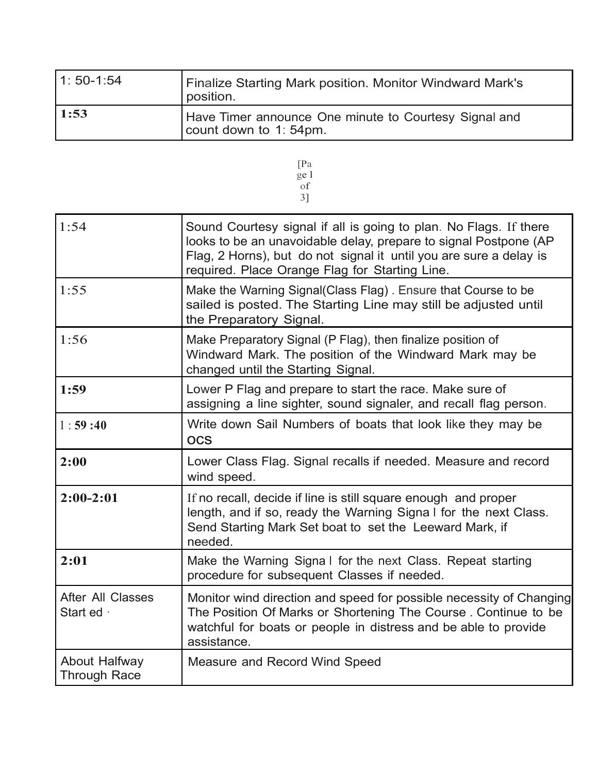| $1:50-1:54$                          | Finalize Starting Mark position. Monitor Windward Mark's<br>position.                                                                                                                                                                                         |
|--------------------------------------|---------------------------------------------------------------------------------------------------------------------------------------------------------------------------------------------------------------------------------------------------------------|
| 1:53                                 | Have Timer announce One minute to Courtesy Signal and<br>count down to 1: 54pm.                                                                                                                                                                               |
|                                      | [Pa]<br>ge 1<br>of<br>3]                                                                                                                                                                                                                                      |
| 1:54                                 | Sound Courtesy signal if all is going to plan. No Flags. If there<br>looks to be an unavoidable delay, prepare to signal Postpone (AP<br>Flag, 2 Horns), but do not signal it until you are sure a delay is<br>required. Place Orange Flag for Starting Line. |
| 1:55                                 | Make the Warning Signal (Class Flag). Ensure that Course to be<br>sailed is posted. The Starting Line may still be adjusted until<br>the Preparatory Signal.                                                                                                  |
| 1:56                                 | Make Preparatory Signal (P Flag), then finalize position of<br>Windward Mark. The position of the Windward Mark may be<br>changed until the Starting Signal.                                                                                                  |
| 1:59                                 | Lower P Flag and prepare to start the race. Make sure of<br>assigning a line sighter, sound signaler, and recall flag person.                                                                                                                                 |
| 1:59:40                              | Write down Sail Numbers of boats that look like they may be<br><b>OCS</b>                                                                                                                                                                                     |
| 2:00                                 | Lower Class Flag. Signal recalls if needed. Measure and record<br>wind speed.                                                                                                                                                                                 |
| $2:00-2:01$                          | If no recall, decide if line is still square enough and proper<br>length, and if so, ready the Warning Signa I for the next Class.<br>Send Starting Mark Set boat to set the Leeward Mark, if<br>needed.                                                      |
| 2:01                                 | Make the Warning Signa I for the next Class. Repeat starting<br>procedure for subsequent Classes if needed.                                                                                                                                                   |
| After All Classes<br>Start ed ·      | Monitor wind direction and speed for possible necessity of Changing<br>The Position Of Marks or Shortening The Course. Continue to be<br>watchful for boats or people in distress and be able to provide<br>assistance.                                       |
| <b>About Halfway</b><br>Through Race | Measure and Record Wind Speed                                                                                                                                                                                                                                 |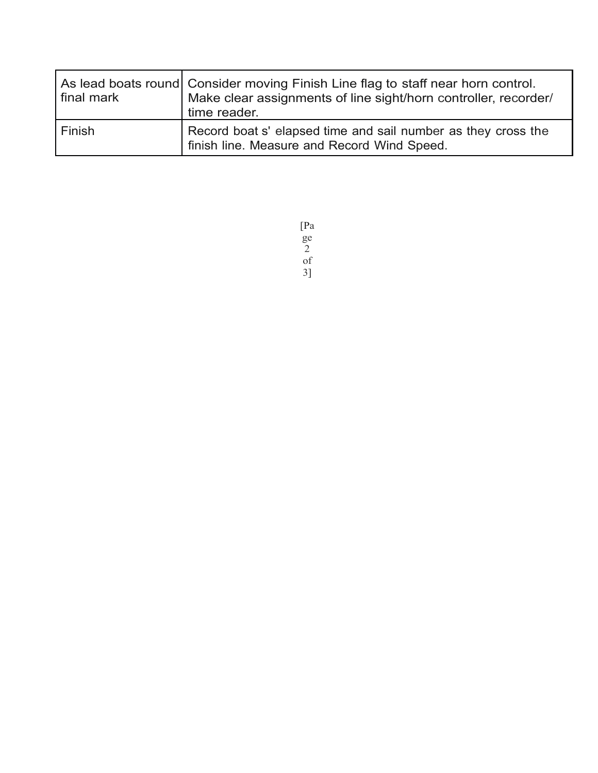| final mark | As lead boats round Consider moving Finish Line flag to staff near horn control.<br>Make clear assignments of line sight/horn controller, recorder/<br>time reader. |
|------------|---------------------------------------------------------------------------------------------------------------------------------------------------------------------|
| l Finish   | Record boat s' elapsed time and sail number as they cross the<br>finish line. Measure and Record Wind Speed.                                                        |

[Pa ge 2 of 3]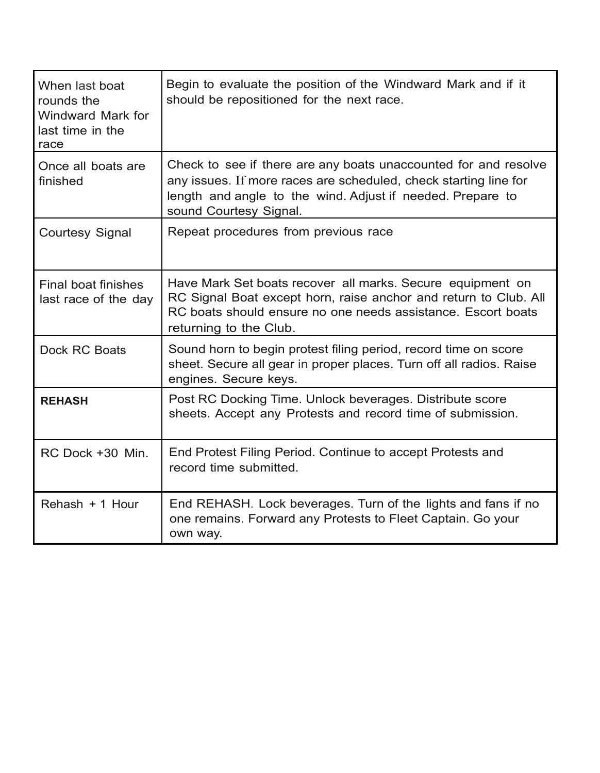| When last boat<br>rounds the<br>Windward Mark for<br>last time in the<br>race | Begin to evaluate the position of the Windward Mark and if it<br>should be repositioned for the next race.                                                                                                                  |
|-------------------------------------------------------------------------------|-----------------------------------------------------------------------------------------------------------------------------------------------------------------------------------------------------------------------------|
| Once all boats are<br>finished                                                | Check to see if there are any boats unaccounted for and resolve<br>any issues. If more races are scheduled, check starting line for<br>length and angle to the wind. Adjust if needed. Prepare to<br>sound Courtesy Signal. |
| <b>Courtesy Signal</b>                                                        | Repeat procedures from previous race                                                                                                                                                                                        |
| Final boat finishes<br>last race of the day                                   | Have Mark Set boats recover all marks. Secure equipment on<br>RC Signal Boat except horn, raise anchor and return to Club. All<br>RC boats should ensure no one needs assistance. Escort boats<br>returning to the Club.    |
| Dock RC Boats                                                                 | Sound horn to begin protest filing period, record time on score<br>sheet. Secure all gear in proper places. Turn off all radios. Raise<br>engines. Secure keys.                                                             |
| <b>REHASH</b>                                                                 | Post RC Docking Time. Unlock beverages. Distribute score<br>sheets. Accept any Protests and record time of submission.                                                                                                      |
| RC Dock +30 Min.                                                              | End Protest Filing Period. Continue to accept Protests and<br>record time submitted.                                                                                                                                        |
| Rehash + 1 Hour                                                               | End REHASH. Lock beverages. Turn of the lights and fans if no<br>one remains. Forward any Protests to Fleet Captain. Go your<br>own way.                                                                                    |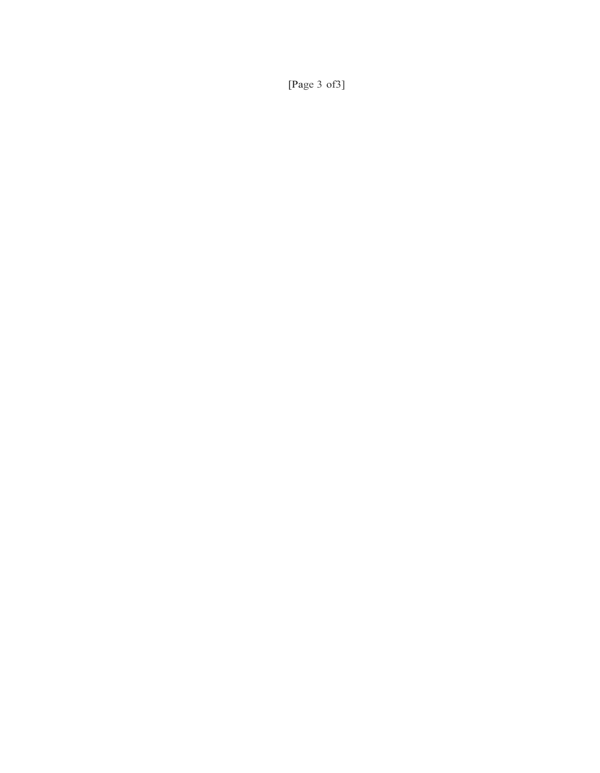[Page 3 of3]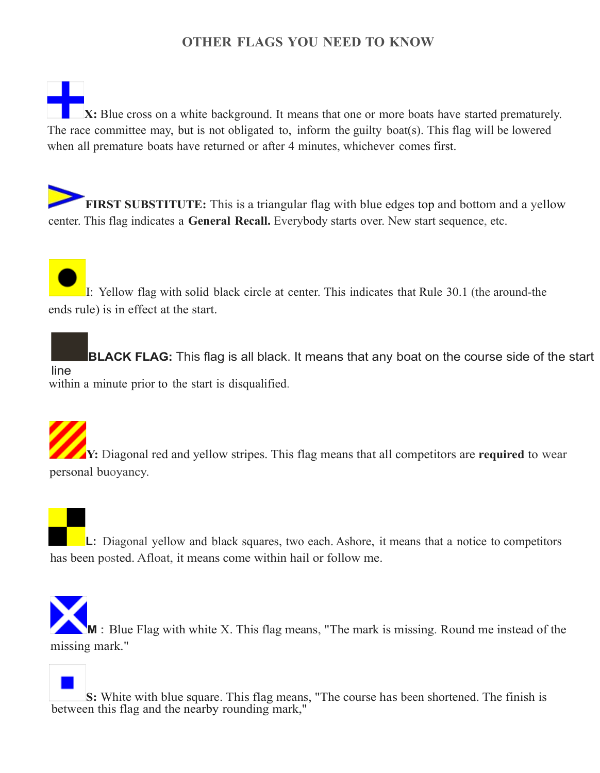## **OTHER FLAGS YOU NEED TO KNOW**

**X:** Blue cross on a white background. It means that one or more boats have started prematurely. The race committee may, but is not obligated to, inform the guilty boat(s). This flag will be lowered when all premature boats have returned or after 4 minutes, whichever comes first.

**FIRST SUBSTITUTE:** This is a triangular flag with blue edges top and bottom and a yellow center. This flag indicates a **General Recall.** Everybody starts over. New start sequence, etc.

I: Yellow flag with solid black circle at center. This indicates that Rule 30.1 (the around-the ends rule) is in effect at the start.

**BLACK FLAG:** This flag is all black. It means that any boat on the course side of the start line within a minute prior to the start is disqualified.

**Y:** Diagonal red and yellow stripes. This flag means that all competitors are **required** to wear personal buoyancy.

**L:** Diagonal yellow and black squares, two each. Ashore, it means that a notice to competitors has been posted. Afloat, it means come within hail or follow me.

**M** : Blue Flag with white X. This flag means, "The mark is missing. Round me instead of the missing mark."

**S:** White with blue square. This flag means, "The course has been shortened. The finish is between this flag and the nearby rounding mark,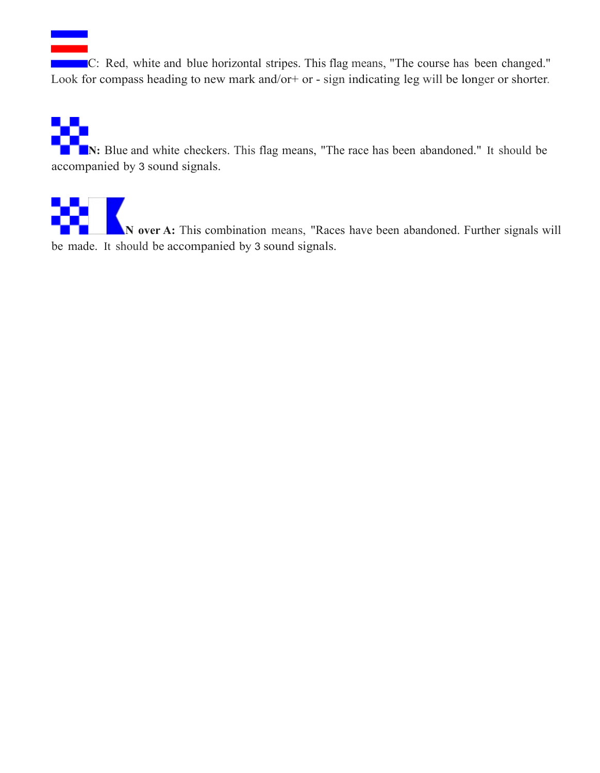**C:** Red, white and blue horizontal stripes. This flag means, "The course has been changed." Look for compass heading to new mark and/or+ or - sign indicating leg will be longer or shorter.

90 Q Q n an **N:** Blue and white checkers. This flag means, "The race has been abandoned." It should be accompanied by 3 sound signals.

**The Contract of Security N over** A: This combination means, "Races have been abandoned. Further signals will be made. It should be accompanied by 3 sound signals.